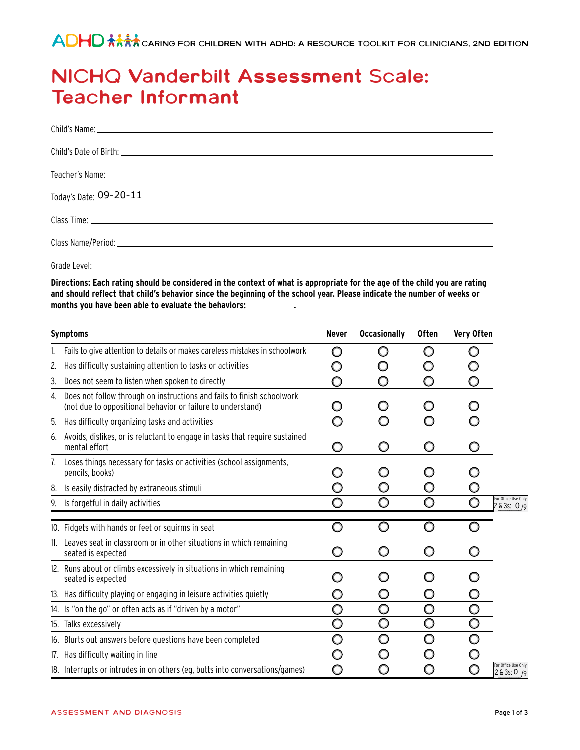## **NICHQ Vanderbilt Assessment Scale: Teacher Informant**

| Today's Date: 09-20-11<br>and the control of the control of the control of the control of the control of the control of the control of the |
|--------------------------------------------------------------------------------------------------------------------------------------------|
|                                                                                                                                            |
|                                                                                                                                            |
|                                                                                                                                            |
|                                                                                                                                            |

Directions: Each rating should be considered in the context of what is appropriate for the age of the child you are rating and should reflect that child's behavior since the beginning of the school year. Please indicate the number of weeks or **months you have been able to evaluate the behaviors: .**

|    | <b>Symptoms</b>                                                                                                                       | <b>Never</b> | <b>Occasionally</b> | <b>Often</b> | Very Often |                                      |
|----|---------------------------------------------------------------------------------------------------------------------------------------|--------------|---------------------|--------------|------------|--------------------------------------|
|    | Fails to give attention to details or makes careless mistakes in schoolwork                                                           | O            | O                   | O            |            |                                      |
| 2. | Has difficulty sustaining attention to tasks or activities                                                                            | O            | O                   |              |            |                                      |
| 3. | Does not seem to listen when spoken to directly                                                                                       | ∩            | O                   | O            |            |                                      |
| 4. | Does not follow through on instructions and fails to finish schoolwork<br>(not due to oppositional behavior or failure to understand) |              | O                   | O            |            |                                      |
| 5. | Has difficulty organizing tasks and activities                                                                                        | ∩            | ∩                   | ∩            | ∩          |                                      |
| 6. | Avoids, dislikes, or is reluctant to engage in tasks that require sustained<br>mental effort                                          | O            | O                   | O            |            |                                      |
| 7. | Loses things necessary for tasks or activities (school assignments,<br>pencils, books)                                                |              | O                   |              |            |                                      |
| 8. | Is easily distracted by extraneous stimuli                                                                                            | ∩            | ∩                   | n            |            |                                      |
| 9. | Is forgetful in daily activities                                                                                                      |              | O                   | O            |            | For Office Use Only<br>2 & 3s: 0/9   |
|    | 10. Fidgets with hands or feet or squirms in seat                                                                                     | ∩            | O                   | O            |            |                                      |
|    | 11. Leaves seat in classroom or in other situations in which remaining<br>seated is expected                                          |              | O                   | O            |            |                                      |
|    | 12. Runs about or climbs excessively in situations in which remaining<br>seated is expected                                           | ()           | O                   | Ω            | Ω          |                                      |
|    | 13. Has difficulty playing or engaging in leisure activities quietly                                                                  | ∩            | $\bigcirc$          | O            | O          |                                      |
|    | 14. Is "on the go" or often acts as if "driven by a motor"                                                                            |              | O                   | O            | 0          |                                      |
|    | 15. Talks excessively                                                                                                                 | O            | O                   | O            | O          |                                      |
|    | 16. Blurts out answers before questions have been completed                                                                           | O            | O                   | O            | O          |                                      |
|    | 17. Has difficulty waiting in line                                                                                                    |              | O                   |              | O          |                                      |
|    | 18. Interrupts or intrudes in on others (eg, butts into conversations/games)                                                          |              | 0                   | ∩            | Ο          | For Office Use Only<br>2 & 3s: 0 / 9 |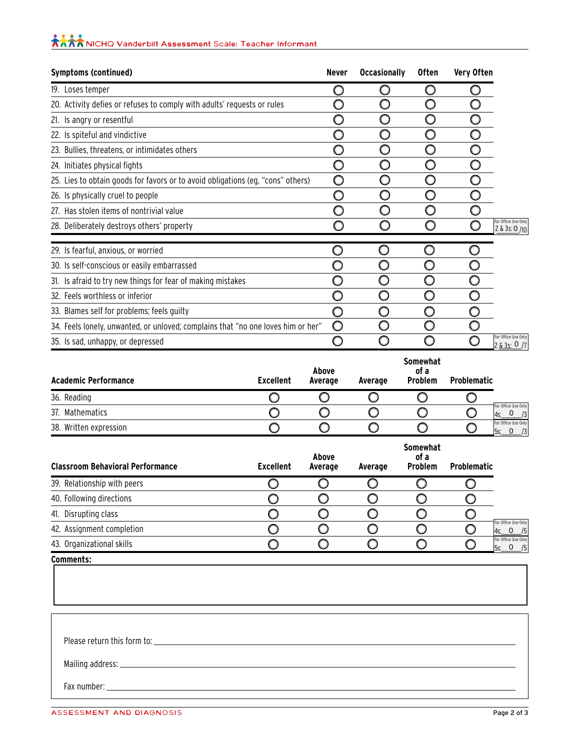## **KRANICHO Vanderbilt Assessment Scale: Teacher Informant**

| Symptoms (continued)                                                             | Never | <b>Occasionally</b> | <b>Often</b> | Very Often |                                      |
|----------------------------------------------------------------------------------|-------|---------------------|--------------|------------|--------------------------------------|
| 19. Loses temper                                                                 |       |                     |              |            |                                      |
| 20. Activity defies or refuses to comply with adults' requests or rules          |       |                     |              |            |                                      |
| 21. Is angry or resentful                                                        |       | O                   |              |            |                                      |
| 22. Is spiteful and vindictive                                                   |       | ∩                   |              |            |                                      |
| 23. Bullies, threatens, or intimidates others                                    |       | ∩                   |              |            |                                      |
| 24. Initiates physical fights                                                    |       | ∩                   |              |            |                                      |
| 25. Lies to obtain goods for favors or to avoid obligations (eg, "cons" others)  | O     | ∩                   |              |            |                                      |
| 26. Is physically cruel to people                                                |       | ∩                   |              |            |                                      |
| 27. Has stolen items of nontrivial value                                         |       |                     |              |            |                                      |
| 28. Deliberately destroys others' property                                       |       |                     |              |            | For Office Use Only<br>2 & 3s: 0/10  |
| 29. Is fearful, anxious, or worried                                              |       |                     |              |            |                                      |
| 30. Is self-conscious or easily embarrassed                                      |       |                     |              |            |                                      |
| 31. Is afraid to try new things for fear of making mistakes                      |       |                     |              |            |                                      |
| 32. Feels worthless or inferior                                                  |       |                     |              |            |                                      |
| 33. Blames self for problems; feels guilty                                       |       |                     |              |            |                                      |
| 34. Feels lonely, unwanted, or unloved; complains that "no one loves him or her" | O     |                     |              |            |                                      |
| 35. Is sad, unhappy, or depressed                                                |       |                     |              |            | For Office Use Only<br>2 & 3s: 0 / 7 |

| <b>Academic Performance</b> | <b>Excellent</b> | Above<br>Average | Average | <b>Somewhat</b><br>of a<br>Problem | <b>Problematic</b> |                                              |
|-----------------------------|------------------|------------------|---------|------------------------------------|--------------------|----------------------------------------------|
| 36. Reading                 |                  |                  |         |                                    |                    |                                              |
| 37. Mathematics             |                  |                  |         |                                    |                    | For Office Use Only<br>0<br>/3<br>l4s:       |
| 38. Written expression      |                  |                  |         |                                    |                    | For Office Use Only<br>/3<br><b>5s:</b><br>0 |

| <b>Classroom Behavioral Performance</b> | <b>Excellent</b> | Above<br>Average | Average | <b>Somewhat</b><br>of a<br><b>Problem</b> | <b>Problematic</b> |                                                     |
|-----------------------------------------|------------------|------------------|---------|-------------------------------------------|--------------------|-----------------------------------------------------|
| 39. Relationship with peers             |                  |                  |         |                                           |                    |                                                     |
| 40. Following directions                |                  |                  |         |                                           |                    |                                                     |
| 41. Disrupting class                    |                  |                  |         |                                           |                    |                                                     |
| 42. Assignment completion               |                  |                  |         |                                           |                    | For Office Use Only<br>$\mathbf{0}$<br>/5<br>4s:    |
| 43. Organizational skills               |                  |                  |         |                                           |                    | For Office Use Only<br>$\Omega$<br>/5<br><b>5s:</b> |

Please return this form to:

Mailing address:

Fax number: